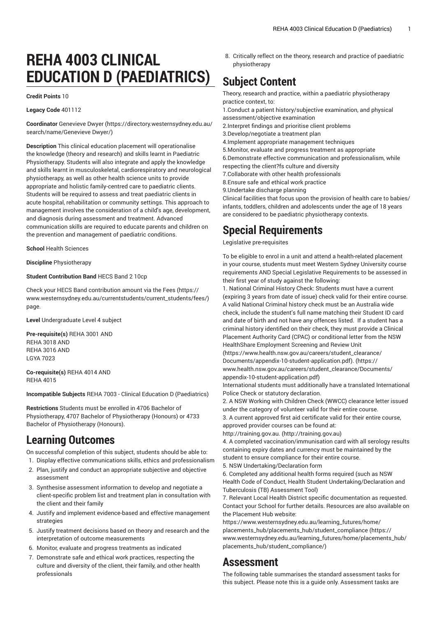# **REHA 4003 CLINICAL EDUCATION D (PAEDIATRICS)**

#### **Credit Points** 10

**Legacy Code** 401112

**Coordinator** [Genevieve](https://directory.westernsydney.edu.au/search/name/Genevieve Dwyer/) Dwyer [\(https://directory.westernsydney.edu.au/](https://directory.westernsydney.edu.au/search/name/Genevieve Dwyer/) [search/name/Genevieve](https://directory.westernsydney.edu.au/search/name/Genevieve Dwyer/) Dwyer/)

**Description** This clinical education placement will operationalise the knowledge (theory and research) and skills learnt in Paediatric Physiotherapy. Students will also integrate and apply the knowledge and skills learnt in musculoskeletal, cardiorespiratory and neurological physiotherapy, as well as other health science units to provide appropriate and holistic family-centred care to paediatric clients. Students will be required to assess and treat paediatric clients in acute hospital, rehabilitation or community settings. This approach to management involves the consideration of a child's age, development, and diagnosis during assessment and treatment. Advanced communication skills are required to educate parents and children on the prevention and management of paediatric conditions.

**School** Health Sciences

**Discipline** Physiotherapy

#### **Student Contribution Band** HECS Band 2 10cp

Check your HECS Band contribution amount via the [Fees \(https://](https://www.westernsydney.edu.au/currentstudents/current_students/fees/) [www.westernsydney.edu.au/currentstudents/current\\_students/fees/\)](https://www.westernsydney.edu.au/currentstudents/current_students/fees/) page.

**Level** Undergraduate Level 4 subject

**Pre-requisite(s)** [REHA](/search/?P=REHA%203001) 3001 AND [REHA](/search/?P=REHA%203018) 3018 AND [REHA](/search/?P=REHA%203016) 3016 AND LGYA 7023

**Co-requisite(s)** [REHA](/search/?P=REHA%204014) 4014 AND [REHA](/search/?P=REHA%204015) 4015

**Incompatible Subjects** REHA 7003 - Clinical Education D (Paediatrics)

**Restrictions** Students must be enrolled in 4706 Bachelor of Physiotherapy, 4707 Bachelor of Physiotherapy (Honours) or 4733 Bachelor of Physiotherapy (Honours).

## **Learning Outcomes**

On successful completion of this subject, students should be able to: 1. Display effective communications skills, ethics and professionalism

- 2. Plan, justify and conduct an appropriate subjective and objective assessment
- 3. Synthesise assessment information to develop and negotiate a client-specific problem list and treatment plan in consultation with the client and their family
- 4. Justify and implement evidence-based and effective management strategies
- 5. Justify treatment decisions based on theory and research and the interpretation of outcome measurements
- 6. Monitor, evaluate and progress treatments as indicated
- 7. Demonstrate safe and ethical work practices, respecting the culture and diversity of the client, their family, and other health professionals

8. Critically reflect on the theory, research and practice of paediatric physiotherapy

# **Subject Content**

Theory, research and practice, within a paediatric physiotherapy practice context, to:

1.Conduct a patient history/subjective examination, and physical assessment/objective examination

- 2.Interpret findings and prioritise client problems
- 3.Develop/negotiate a treatment plan
- 4.Implement appropriate management techniques
- 5.Monitor, evaluate and progress treatment as appropriate

6.Demonstrate effective communication and professionalism, while respecting the client?fs culture and diversity

7.Collaborate with other health professionals

8.Ensure safe and ethical work practice

9.Undertake discharge planning

Clinical facilities that focus upon the provision of health care to babies/ infants, toddlers, children and adolescents under the age of 18 years are considered to be paediatric physiotherapy contexts.

# **Special Requirements**

Legislative pre-requisites

To be eligible to enrol in a unit and attend a health-related placement in your course, students must meet Western Sydney University course requirements AND Special Legislative Requirements to be assessed in their first year of study against the following:

1. National Criminal History Check: Students must have a current (expiring 3 years from date of issue) check valid for their entire course. A valid National Criminal history check must be an Australia wide check, include the student's full name matching their Student ID card and date of birth and not have any offences listed. If a student has a criminal history identified on their check, they must provide a Clinical Placement Authority Card (CPAC) or conditional letter from the NSW HealthShare Employment Screening and Review Unit

[\(https://www.health.nsw.gov.au/careers/student\\_clearance/](https://www.health.nsw.gov.au/careers/student_clearance/Documents/appendix-10-student-application.pdf) [Documents/appendix-10-student-application.pdf\). \(https://](https://www.health.nsw.gov.au/careers/student_clearance/Documents/appendix-10-student-application.pdf) [www.health.nsw.gov.au/careers/student\\_clearance/Documents/](https://www.health.nsw.gov.au/careers/student_clearance/Documents/appendix-10-student-application.pdf) [appendix-10-student-application.pdf](https://www.health.nsw.gov.au/careers/student_clearance/Documents/appendix-10-student-application.pdf))

International students must additionally have a translated International Police Check or statutory declaration.

2. A NSW Working with Children Check (WWCC) clearance letter issued under the category of volunteer valid for their entire course.

3. A current approved first aid certificate valid for their entire course, approved provider courses can be found at:

[http://training.gov.au. \(http://training.gov.au\)](http://training.gov.au)

4. A completed vaccination/immunisation card with all serology results containing expiry dates and currency must be maintained by the student to ensure compliance for their entire course.

5. NSW Undertaking/Declaration form

6. Completed any additional health forms required (such as NSW Health Code of Conduct, Health Student Undertaking/Declaration and Tuberculosis (TB) Assessment Tool)

7. Relevant Local Health District specific documentation as requested. Contact your School for further details. Resources are also available on the Placement Hub website:

[https://www.westernsydney.edu.au/learning\\_futures/home/](https://www.westernsydney.edu.au/learning_futures/home/placements_hub/placements_hub/student_compliance/) [placements\\_hub/placements\\_hub/student\\_compliance](https://www.westernsydney.edu.au/learning_futures/home/placements_hub/placements_hub/student_compliance/) [\(https://](https://www.westernsydney.edu.au/learning_futures/home/placements_hub/placements_hub/student_compliance/) [www.westernsydney.edu.au/learning\\_futures/home/placements\\_hub/](https://www.westernsydney.edu.au/learning_futures/home/placements_hub/placements_hub/student_compliance/) [placements\\_hub/student\\_compliance/](https://www.westernsydney.edu.au/learning_futures/home/placements_hub/placements_hub/student_compliance/))

### **Assessment**

The following table summarises the standard assessment tasks for this subject. Please note this is a guide only. Assessment tasks are